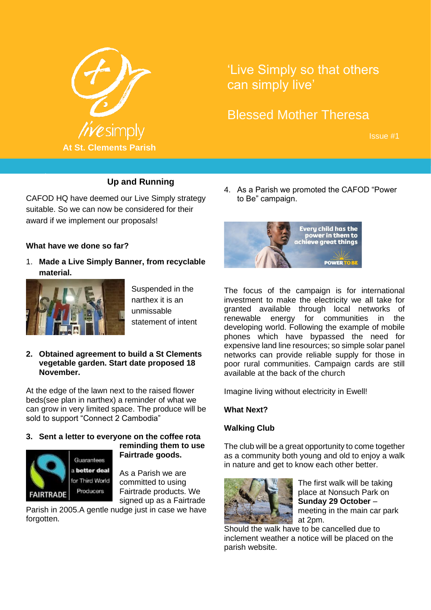

# 'Live Simply so that others can simply live'

# Blessed Mother Theresa

Issue #1

### **Up and Running**

CAFOD HQ have deemed our Live Simply strategy suitable. So we can now be considered for their award if we implement our proposals!

#### **What have we done so far?**

October 2017

1. **Made a Live Simply Banner, from recyclable material.** 



Suspended in the narthex it is an unmissable statement of intent

#### **2. Obtained agreement to build a St Clements vegetable garden. Start date proposed 18 November.**

At the edge of the lawn next to the raised flower beds(see plan in narthex) a reminder of what we can grow in very limited space. The produce will be sold to support "Connect 2 Cambodia"

#### **3. Sent a letter to everyone on the coffee rota**



### **reminding them to use Fairtrade goods.**

As a Parish we are committed to using Fairtrade products. We signed up as a Fairtrade

Parish in 2005.A gentle nudge just in case we have forgotten.

4. As a Parish we promoted the CAFOD "Power to Be" campaign.



The focus of the campaign is for international investment to make the electricity we all take for granted available through local networks of renewable energy for communities in the developing world. Following the example of mobile phones which have bypassed the need for expensive land line resources; so simple solar panel networks can provide reliable supply for those in poor rural communities. Campaign cards are still available at the back of the church

Imagine living without electricity in Ewell!

#### **What Next?**

#### **Walking Club**

The club will be a great opportunity to come together as a community both young and old to enjoy a walk in nature and get to know each other better.



The first walk will be taking place at Nonsuch Park on **Sunday 29 October** – meeting in the main car park at 2pm.

Should the walk have to be cancelled due to inclement weather a notice will be placed on the parish website.